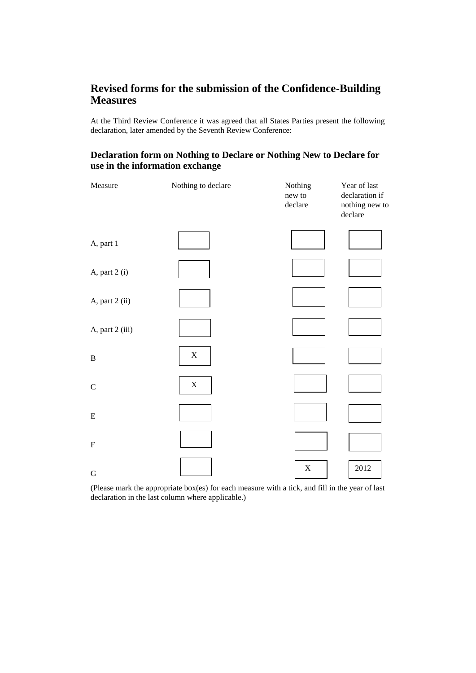# **Revised forms for the submission of the Confidence-Building Measures**

At the Third Review Conference it was agreed that all States Parties present the following declaration, later amended by the Seventh Review Conference:

# **Declaration form on Nothing to Declare or Nothing New to Declare for use in the information exchange**

| Measure                   | Nothing to declare | Nothing<br>new to<br>declare | Year of last<br>declaration if<br>nothing new to<br>declare |
|---------------------------|--------------------|------------------------------|-------------------------------------------------------------|
| A, part 1                 |                    |                              |                                                             |
| A, part 2 (i)             |                    |                              |                                                             |
| A, part 2 (ii)            |                    |                              |                                                             |
| A, part 2 (iii)           |                    |                              |                                                             |
| $\, {\bf B}$              | $\mathbf X$        |                              |                                                             |
| $\mathsf C$               | $\mathbf X$        |                              |                                                             |
| ${\bf E}$                 |                    |                              |                                                             |
| $\boldsymbol{\mathrm{F}}$ |                    |                              |                                                             |
| $\mathbf G$               |                    | $\mathbf X$                  | $2012\,$                                                    |

(Please mark the appropriate box(es) for each measure with a tick, and fill in the year of last declaration in the last column where applicable.)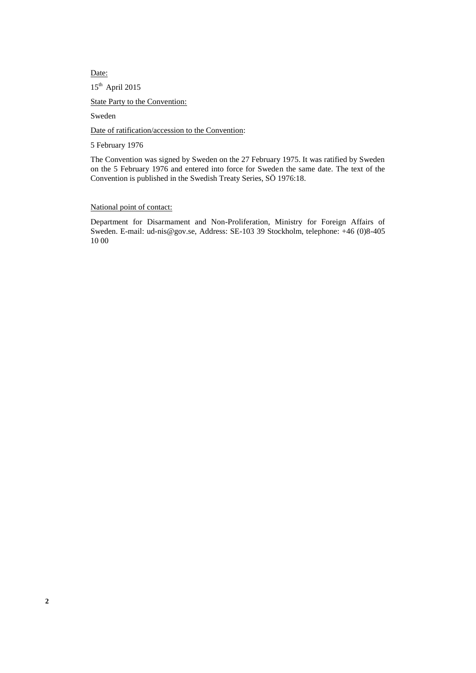Date:  $15<sup>th</sup>$  April 2015

State Party to the Convention:

Sweden

Date of ratification/accession to the Convention:

5 February 1976

The Convention was signed by Sweden on the 27 February 1975. It was ratified by Sweden on the 5 February 1976 and entered into force for Sweden the same date. The text of the Convention is published in the Swedish Treaty Series, SÖ 1976:18.

National point of contact:

Department for Disarmament and Non-Proliferation, Ministry for Foreign Affairs of Sweden. E-mail: [ud-nis@gov.se,](mailto:ud-nis@gov.se) Address: SE-103 39 Stockholm, telephone: +46 (0)8-405 10 00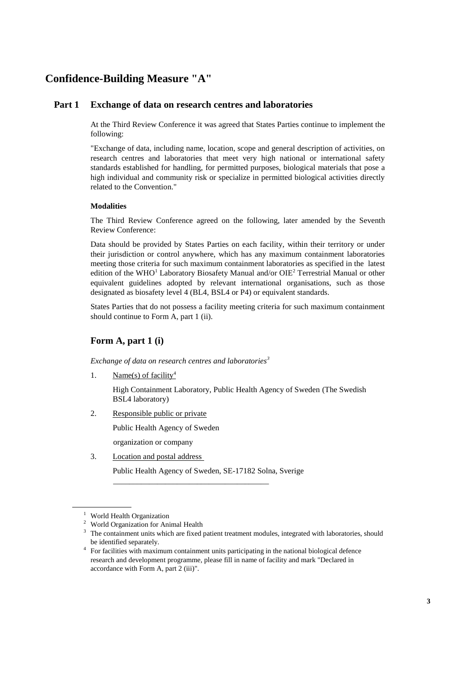# **Confidence-Building Measure "A"**

## **Part 1 Exchange of data on research centres and laboratories**

At the Third Review Conference it was agreed that States Parties continue to implement the following:

"Exchange of data, including name, location, scope and general description of activities, on research centres and laboratories that meet very high national or international safety standards established for handling, for permitted purposes, biological materials that pose a high individual and community risk or specialize in permitted biological activities directly related to the Convention."

### **Modalities**

The Third Review Conference agreed on the following, later amended by the Seventh Review Conference:

Data should be provided by States Parties on each facility, within their territory or under their jurisdiction or control anywhere, which has any maximum containment laboratories meeting those criteria for such maximum containment laboratories as specified in the latest edition of the WHO<sup>1</sup> Laboratory Biosafety Manual and/or  $OIE<sup>2</sup>$  Terrestrial Manual or other equivalent guidelines adopted by relevant international organisations, such as those designated as biosafety level 4 (BL4, BSL4 or P4) or equivalent standards.

States Parties that do not possess a facility meeting criteria for such maximum containment should continue to Form A, part 1 (ii).

# **Form A, part 1 (i)**

*Exchange of data on research centres and laboratories<sup>3</sup>*

1. Name(s) of facility<sup>4</sup>

High Containment Laboratory, Public Health Agency of Sweden (The Swedish BSL4 laboratory)

2. Responsible public or private

Public Health Agency of Sweden

organization or company

3. Location and postal address

Public Health Agency of Sweden, SE-17182 Solna, Sverige

\_\_\_\_\_\_\_\_\_\_\_\_\_\_\_\_\_\_\_\_\_\_\_\_\_\_\_\_\_\_\_\_\_\_\_\_\_\_\_

<sup>&</sup>lt;sup>1</sup> World Health Organization

<sup>2</sup> World Organization for Animal Health

<sup>&</sup>lt;sup>3</sup> The containment units which are fixed patient treatment modules, integrated with laboratories, should be identified separately.

<sup>&</sup>lt;sup>4</sup> For facilities with maximum containment units participating in the national biological defence research and development programme, please fill in name of facility and mark "Declared in accordance with Form A, part 2 (iii)".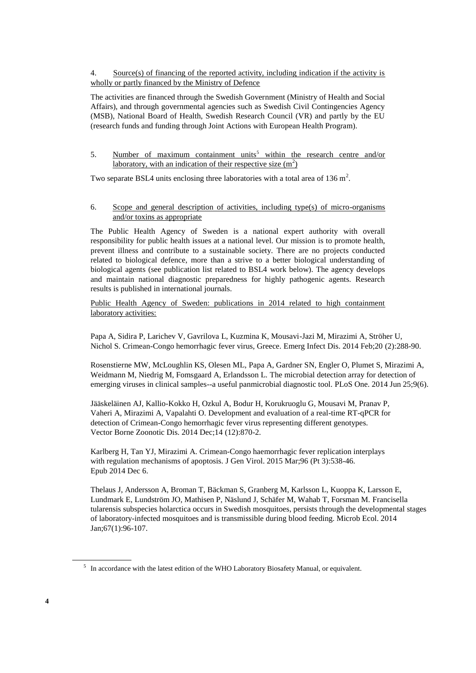### 4. Source(s) of financing of the reported activity, including indication if the activity is wholly or partly financed by the Ministry of Defence

The activities are financed through the Swedish Government (Ministry of Health and Social Affairs), and through governmental agencies such as Swedish Civil Contingencies Agency (MSB), National Board of Health, Swedish Research Council (VR) and partly by the EU (research funds and funding through Joint Actions with European Health Program).

## 5. Number of maximum containment units<sup>5</sup> within the research centre and/or laboratory, with an indication of their respective size  $(m<sup>2</sup>)$

Two separate BSL4 units enclosing three laboratories with a total area of  $136 \text{ m}^2$ .

### 6. Scope and general description of activities, including type(s) of micro-organisms and/or toxins as appropriate

The Public Health Agency of Sweden is a national expert authority with overall responsibility for public health issues at a national level. Our mission is to promote health, prevent illness and contribute to a sustainable society. There are no projects conducted related to biological defence, more than a strive to a better biological understanding of biological agents (see publication list related to BSL4 work below). The agency develops and maintain national diagnostic preparedness for highly pathogenic agents. Research results is published in international journals.

Public Health Agency of Sweden: publications in 2014 related to high containment laboratory activities:

Papa A, Sidira P, Larichev V, Gavrilova L, Kuzmina K, Mousavi-Jazi M, Mirazimi A, Ströher U, Nichol S. Crimean-Congo hemorrhagic fever virus, Greece. Emerg Infect Dis. 2014 Feb;20 (2):288-90.

Rosenstierne MW, McLoughlin KS, Olesen ML, Papa A, Gardner SN, Engler O, Plumet S, Mirazimi A, Weidmann M, Niedrig M, Fomsgaard A, Erlandsson L. The microbial detection array for detection of emerging viruses in clinical samples--a useful panmicrobial diagnostic tool. PLoS One. 2014 Jun 25;9(6).

Jääskeläinen AJ, Kallio-Kokko H, Ozkul A, Bodur H, Korukruoglu G, Mousavi M, Pranav P, Vaheri A, Mirazimi A, Vapalahti O. Development and evaluation of a real-time RT-qPCR for detection of Crimean-Congo hemorrhagic fever virus representing different genotypes. Vector Borne Zoonotic Dis. 2014 Dec;14 (12):870-2.

Karlberg H, Tan YJ, Mirazimi A. Crimean-Congo haemorrhagic fever replication interplays with regulation mechanisms of apoptosis. J Gen Virol. 2015 Mar;96 (Pt 3):538-46. Epub 2014 Dec 6.

Thelaus J, Andersson A, Broman T, Bäckman S, Granberg M, Karlsson L, Kuoppa K, Larsson E, Lundmark E, Lundström JO, Mathisen P, Näslund J, Schäfer M, Wahab T, Forsman M. Francisella tularensis subspecies holarctica occurs in Swedish mosquitoes, persists through the developmental stages of laboratory-infected mosquitoes and is transmissible during blood feeding. Microb Ecol. 2014 Jan;67(1):96-107.

<sup>&</sup>lt;sup>5</sup> In accordance with the latest edition of the WHO Laboratory Biosafety Manual, or equivalent.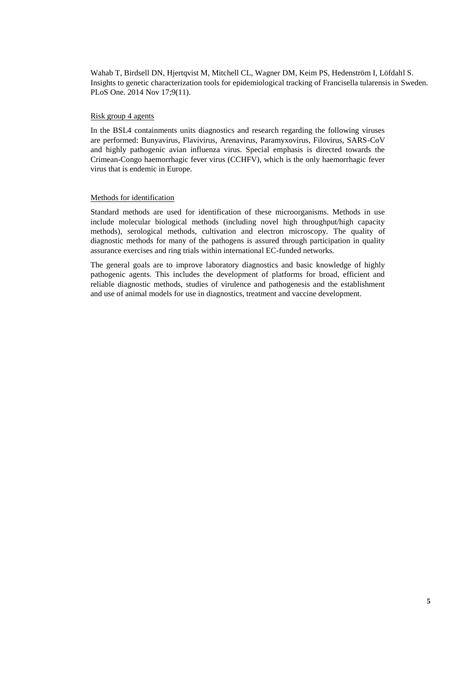Wahab T, Birdsell DN, Hjertqvist M, Mitchell CL, Wagner DM, Keim PS, Hedenström I, Löfdahl S. Insights to genetic characterization tools for epidemiological tracking of Francisella tularensis in Sweden. PLoS One. 2014 Nov 17;9(11).

#### Risk group 4 agents

In the BSL4 containments units diagnostics and research regarding the following viruses are performed: Bunyavirus, Flavivirus, Arenavirus, Paramyxovirus, Filovirus, SARS-CoV and highly pathogenic avian influenza virus. Special emphasis is directed towards the Crimean-Congo haemorrhagic fever virus (CCHFV), which is the only haemorrhagic fever virus that is endemic in Europe.

#### Methods for identification

Standard methods are used for identification of these microorganisms. Methods in use include molecular biological methods (including novel high throughput/high capacity methods), serological methods, cultivation and electron microscopy. The quality of diagnostic methods for many of the pathogens is assured through participation in quality assurance exercises and ring trials within international EC-funded networks.

The general goals are to improve laboratory diagnostics and basic knowledge of highly pathogenic agents. This includes the development of platforms for broad, efficient and reliable diagnostic methods, studies of virulence and pathogenesis and the establishment and use of animal models for use in diagnostics, treatment and vaccine development.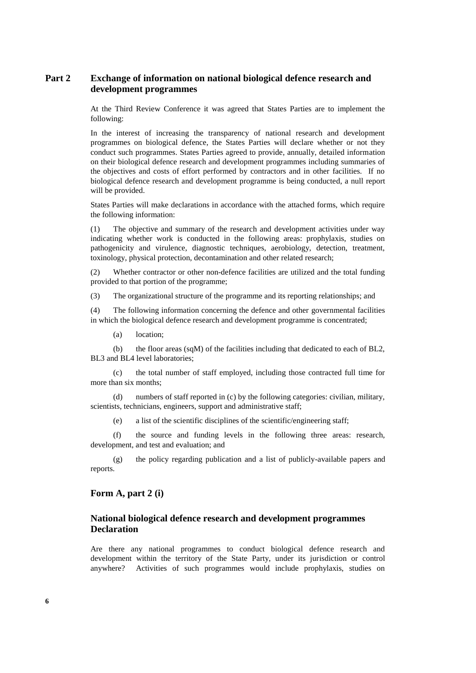## **Part 2 Exchange of information on national biological defence research and development programmes**

At the Third Review Conference it was agreed that States Parties are to implement the following:

In the interest of increasing the transparency of national research and development programmes on biological defence, the States Parties will declare whether or not they conduct such programmes. States Parties agreed to provide, annually, detailed information on their biological defence research and development programmes including summaries of the objectives and costs of effort performed by contractors and in other facilities. If no biological defence research and development programme is being conducted, a null report will be provided.

States Parties will make declarations in accordance with the attached forms, which require the following information:

(1) The objective and summary of the research and development activities under way indicating whether work is conducted in the following areas: prophylaxis, studies on pathogenicity and virulence, diagnostic techniques, aerobiology, detection, treatment, toxinology, physical protection, decontamination and other related research;

(2) Whether contractor or other non-defence facilities are utilized and the total funding provided to that portion of the programme;

(3) The organizational structure of the programme and its reporting relationships; and

(4) The following information concerning the defence and other governmental facilities in which the biological defence research and development programme is concentrated;

(a) location;

(b) the floor areas (sqM) of the facilities including that dedicated to each of BL2, BL3 and BL4 level laboratories;

(c) the total number of staff employed, including those contracted full time for more than six months;

(d) numbers of staff reported in (c) by the following categories: civilian, military, scientists, technicians, engineers, support and administrative staff;

(e) a list of the scientific disciplines of the scientific/engineering staff;

(f) the source and funding levels in the following three areas: research, development, and test and evaluation; and

(g) the policy regarding publication and a list of publicly-available papers and reports.

### **Form A, part 2 (i)**

## **National biological defence research and development programmes Declaration**

Are there any national programmes to conduct biological defence research and development within the territory of the State Party, under its jurisdiction or control anywhere? Activities of such programmes would include prophylaxis, studies on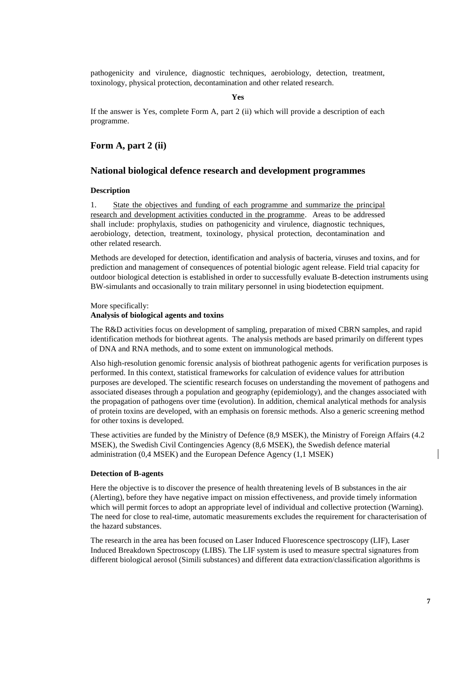pathogenicity and virulence, diagnostic techniques, aerobiology, detection, treatment, toxinology, physical protection, decontamination and other related research.

#### **Yes**

If the answer is Yes, complete Form A, part 2 (ii) which will provide a description of each programme.

### **Form A, part 2 (ii)**

### **National biological defence research and development programmes**

#### **Description**

1. State the objectives and funding of each programme and summarize the principal research and development activities conducted in the programme. Areas to be addressed shall include: prophylaxis, studies on pathogenicity and virulence, diagnostic techniques, aerobiology, detection, treatment, toxinology, physical protection, decontamination and other related research.

Methods are developed for detection, identification and analysis of bacteria, viruses and toxins, and for prediction and management of consequences of potential biologic agent release. Field trial capacity for outdoor biological detection is established in order to successfully evaluate B-detection instruments using BW-simulants and occasionally to train military personnel in using biodetection equipment.

#### More specifically:

#### **Analysis of biological agents and toxins**

The R&D activities focus on development of sampling, preparation of mixed CBRN samples, and rapid identification methods for biothreat agents. The analysis methods are based primarily on different types of DNA and RNA methods, and to some extent on immunological methods.

Also high-resolution genomic forensic analysis of biothreat pathogenic agents for verification purposes is performed. In this context, statistical frameworks for calculation of evidence values for attribution purposes are developed. The scientific research focuses on understanding the movement of pathogens and associated diseases through a population and geography (epidemiology), and the changes associated with the propagation of pathogens over time (evolution). In addition, chemical analytical methods for analysis of protein toxins are developed, with an emphasis on forensic methods. Also a generic screening method for other toxins is developed.

These activities are funded by the Ministry of Defence (8,9 MSEK), the Ministry of Foreign Affairs (4.2 MSEK), the Swedish Civil Contingencies Agency (8,6 MSEK), the Swedish defence material administration (0,4 MSEK) and the European Defence Agency (1,1 MSEK)

#### **Detection of B-agents**

Here the objective is to discover the presence of health threatening levels of B substances in the air (Alerting), before they have negative impact on mission effectiveness, and provide timely information which will permit forces to adopt an appropriate level of individual and collective protection (Warning). The need for close to real-time, automatic measurements excludes the requirement for characterisation of the hazard substances.

The research in the area has been focused on Laser Induced Fluorescence spectroscopy (LIF), Laser Induced Breakdown Spectroscopy (LIBS). The LIF system is used to measure spectral signatures from different biological aerosol (Simili substances) and different data extraction/classification algorithms is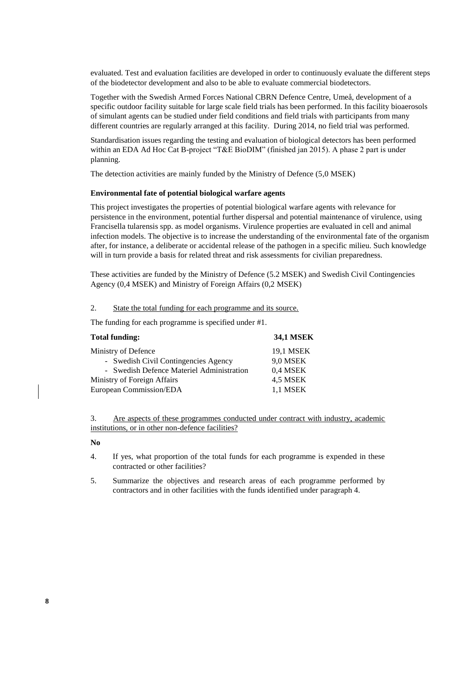evaluated. Test and evaluation facilities are developed in order to continuously evaluate the different steps of the biodetector development and also to be able to evaluate commercial biodetectors.

Together with the Swedish Armed Forces National CBRN Defence Centre, Umeå, development of a specific outdoor facility suitable for large scale field trials has been performed. In this facility bioaerosols of simulant agents can be studied under field conditions and field trials with participants from many different countries are regularly arranged at this facility. During 2014, no field trial was performed.

Standardisation issues regarding the testing and evaluation of biological detectors has been performed within an EDA Ad Hoc Cat B-project "T&E BioDIM" (finished jan 2015). A phase 2 part is under planning.

The detection activities are mainly funded by the Ministry of Defence (5,0 MSEK)

#### **Environmental fate of potential biological warfare agents**

This project investigates the properties of potential biological warfare agents with relevance for persistence in the environment, potential further dispersal and potential maintenance of virulence, using Francisella tularensis spp. as model organisms. Virulence properties are evaluated in cell and animal infection models. The objective is to increase the understanding of the environmental fate of the organism after, for instance, a deliberate or accidental release of the pathogen in a specific milieu. Such knowledge will in turn provide a basis for related threat and risk assessments for civilian preparedness.

These activities are funded by the Ministry of Defence (5.2 MSEK) and Swedish Civil Contingencies Agency (0,4 MSEK) and Ministry of Foreign Affairs (0,2 MSEK)

2. State the total funding for each programme and its source.

The funding for each programme is specified under #1.

| <b>Total funding:</b>                     | <b>34,1 MSEK</b> |  |
|-------------------------------------------|------------------|--|
| Ministry of Defence                       | 19.1 MSEK        |  |
| - Swedish Civil Contingencies Agency      | 9.0 MSEK         |  |
| - Swedish Defence Materiel Administration | 0,4 MSEK         |  |
| Ministry of Foreign Affairs               | 4.5 MSEK         |  |
| European Commission/EDA                   | 1,1 MSEK         |  |
|                                           |                  |  |

3. Are aspects of these programmes conducted under contract with industry, academic institutions, or in other non-defence facilities?

#### **No**

- 4. If yes, what proportion of the total funds for each programme is expended in these contracted or other facilities?
- 5. Summarize the objectives and research areas of each programme performed by contractors and in other facilities with the funds identified under paragraph 4.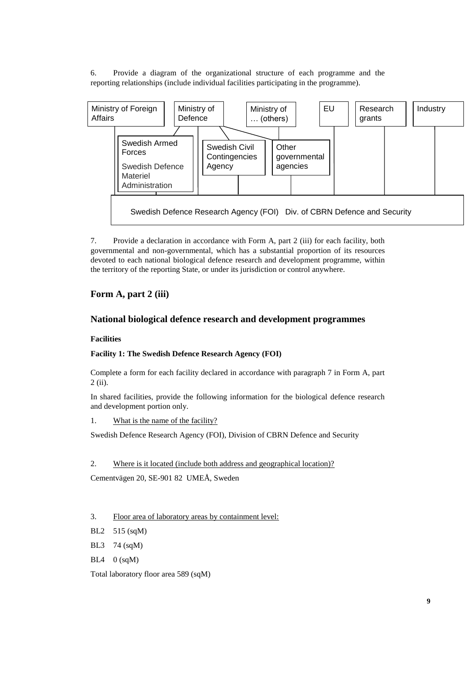6. Provide a diagram of the organizational structure of each programme and the reporting relationships (include individual facilities participating in the programme).



7. Provide a declaration in accordance with Form A, part 2 (iii) for each facility, both governmental and non-governmental, which has a substantial proportion of its resources devoted to each national biological defence research and development programme, within the territory of the reporting State, or under its jurisdiction or control anywhere.

# **Form A, part 2 (iii)**

# **National biological defence research and development programmes**

### **Facilities**

## **Facility 1: The Swedish Defence Research Agency (FOI)**

Complete a form for each facility declared in accordance with paragraph 7 in Form A, part 2 (ii).

In shared facilities, provide the following information for the biological defence research and development portion only.

1. What is the name of the facility?

Swedish Defence Research Agency (FOI), Division of CBRN Defence and Security

2. Where is it located (include both address and geographical location)?

Cementvägen 20, SE-901 82 UMEÅ, Sweden

## 3. Floor area of laboratory areas by containment level:

- BL2 515 (sqM)
- BL3 74 (sqM)
- $BL4 \quad 0 \text{ (sqM)}$

Total laboratory floor area 589 (sqM)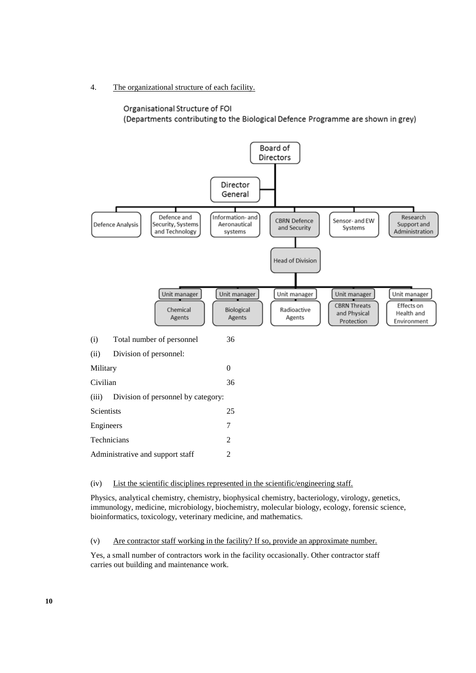4. The organizational structure of each facility.

### Organisational Structure of FOI

(Departments contributing to the Biological Defence Programme are shown in grey)



#### (iv) List the scientific disciplines represented in the scientific/engineering staff.

Physics, analytical chemistry, chemistry, biophysical chemistry, bacteriology, virology, genetics, immunology, medicine, microbiology, biochemistry, molecular biology, ecology, forensic science, bioinformatics, toxicology, veterinary medicine, and mathematics.

#### (v) Are contractor staff working in the facility? If so, provide an approximate number.

Yes, a small number of contractors work in the facility occasionally. Other contractor staff carries out building and maintenance work.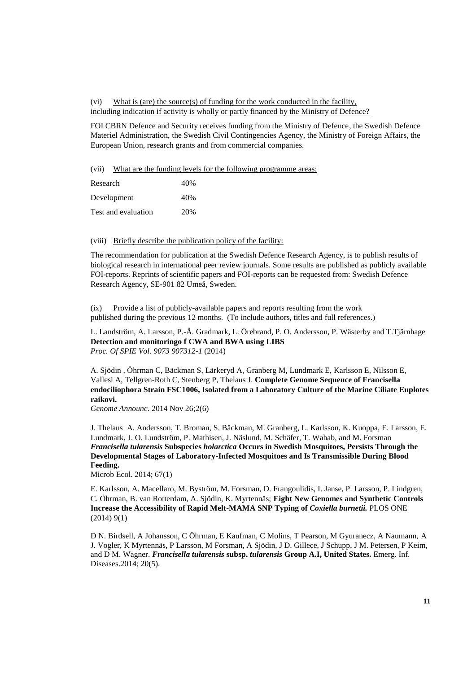(vi) What is (are) the source(s) of funding for the work conducted in the facility, including indication if activity is wholly or partly financed by the Ministry of Defence?

FOI CBRN Defence and Security receives funding from the Ministry of Defence, the Swedish Defence Materiel Administration, the Swedish Civil Contingencies Agency, the Ministry of Foreign Affairs, the European Union, research grants and from commercial companies.

(vii) What are the funding levels for the following programme areas:

| Research            | 40% |
|---------------------|-----|
| Development         | 40% |
| Test and evaluation | 20% |

(viii) Briefly describe the publication policy of the facility:

The recommendation for publication at the Swedish Defence Research Agency, is to publish results of biological research in international peer review journals. Some results are published as publicly available FOI-reports. Reprints of scientific papers and FOI-reports can be requested from: Swedish Defence Research Agency, SE-901 82 Umeå, Sweden.

(ix) Provide a list of publicly-available papers and reports resulting from the work published during the previous 12 months. (To include authors, titles and full references.)

L. Landström, A. Larsson, P.-Å. Gradmark, L. Örebrand, P. O. Andersson, P. Wästerby and T.Tjärnhage **Detection and monitoringo f CWA and BWA using LIBS** *Proc. Of SPIE Vol. 9073 907312-1* (2014)

A. [Sjödin ,](http://www.ncbi.nlm.nih.gov/pubmed/?term=Sj%C3%B6din%20A%5BAuthor%5D&cauthor=true&cauthor_uid=25428973) [Öhrman C,](http://www.ncbi.nlm.nih.gov/pubmed/?term=Ohrman%20C%5BAuthor%5D&cauthor=true&cauthor_uid=25428973) [Bäckman S,](http://www.ncbi.nlm.nih.gov/pubmed/?term=B%C3%A4ckman%20S%5BAuthor%5D&cauthor=true&cauthor_uid=25428973) [Lärkeryd A,](http://www.ncbi.nlm.nih.gov/pubmed/?term=L%C3%A4rkeryd%20A%5BAuthor%5D&cauthor=true&cauthor_uid=25428973) [Granberg M,](http://www.ncbi.nlm.nih.gov/pubmed/?term=Granberg%20M%5BAuthor%5D&cauthor=true&cauthor_uid=25428973) [Lundmark E,](http://www.ncbi.nlm.nih.gov/pubmed/?term=Lundmark%20E%5BAuthor%5D&cauthor=true&cauthor_uid=25428973) [Karlsson E,](http://www.ncbi.nlm.nih.gov/pubmed/?term=Karlsson%20E%5BAuthor%5D&cauthor=true&cauthor_uid=25428973) [Nilsson E,](http://www.ncbi.nlm.nih.gov/pubmed/?term=Nilsson%20E%5BAuthor%5D&cauthor=true&cauthor_uid=25428973) [Vallesi A,](http://www.ncbi.nlm.nih.gov/pubmed/?term=Vallesi%20A%5BAuthor%5D&cauthor=true&cauthor_uid=25428973) [Tellgren-Roth C,](http://www.ncbi.nlm.nih.gov/pubmed/?term=Tellgren-Roth%20C%5BAuthor%5D&cauthor=true&cauthor_uid=25428973) [Stenberg P,](http://www.ncbi.nlm.nih.gov/pubmed/?term=Stenberg%20P%5BAuthor%5D&cauthor=true&cauthor_uid=25428973) [Thelaus J.](http://www.ncbi.nlm.nih.gov/pubmed/?term=Thelaus%20J%5BAuthor%5D&cauthor=true&cauthor_uid=25428973) **Complete Genome Sequence of Francisella endociliophora Strain FSC1006, Isolated from a Laboratory Culture of the Marine Ciliate Euplotes raikovi.**

*[Genome Announc.](http://www.ncbi.nlm.nih.gov/pubmed/?term=Complete+Genome+Sequence+of+Francisella+endociliophora+Strain)* 2014 Nov 26;2(6)

[J. Thelaus](http://www.ncbi.nlm.nih.gov/pubmed/?term=Thelaus%20J%5Bauth%5D) [A. Andersson,](http://www.ncbi.nlm.nih.gov/pubmed/?term=Andersson%20A%5Bauth%5D) [T. Broman,](http://www.ncbi.nlm.nih.gov/pubmed/?term=Broman%20T%5Bauth%5D) [S. Bäckman,](http://www.ncbi.nlm.nih.gov/pubmed/?term=B%26%23x000e4%3Bckman%20S%5Bauth%5D) [M. Granberg,](http://www.ncbi.nlm.nih.gov/pubmed/?term=Granberg%20M%5Bauth%5D) [L. Karlsson,](http://www.ncbi.nlm.nih.gov/pubmed/?term=Karlsson%20L%5Bauth%5D) [K. Kuoppa,](http://www.ncbi.nlm.nih.gov/pubmed/?term=Kuoppa%20K%5Bauth%5D) [E. Larsson,](http://www.ncbi.nlm.nih.gov/pubmed/?term=Larsson%20E%5Bauth%5D) [E.](http://www.ncbi.nlm.nih.gov/pubmed/?term=Lundmark%20E%5Bauth%5D)  [Lundmark,](http://www.ncbi.nlm.nih.gov/pubmed/?term=Lundmark%20E%5Bauth%5D) [J. O. Lundström,](http://www.ncbi.nlm.nih.gov/pubmed/?term=Lundstr%26%23x000f6%3Bm%20JO%5Bauth%5D) [P. Mathisen,](http://www.ncbi.nlm.nih.gov/pubmed/?term=Mathisen%20P%5Bauth%5D) [J. Näslund,](http://www.ncbi.nlm.nih.gov/pubmed/?term=N%26%23x000e4%3Bslund%20J%5Bauth%5D) [M. Schäfer,](http://www.ncbi.nlm.nih.gov/pubmed/?term=Sch%26%23x000e4%3Bfer%20M%5Bauth%5D) [T. Wahab,](http://www.ncbi.nlm.nih.gov/pubmed/?term=Wahab%20T%5Bauth%5D) and [M. Forsman](http://www.ncbi.nlm.nih.gov/pubmed/?term=Forsman%20M%5Bauth%5D) *Francisella tularensis* **Subspecies** *holarctica* **Occurs in Swedish Mosquitoes, Persists Through the Developmental Stages of Laboratory-Infected Mosquitoes and Is Transmissible During Blood Feeding.** 

Microb Ecol. 2014; 67(1)

E. Karlsson, A. Macellaro, M. Byström, M. Forsman, D. Frangoulidis, I. Janse, P. Larsson, P. Lindgren, C. Öhrman, B. van Rotterdam, A. Sjödin, K. Myrtennäs; **Eight New Genomes and Synthetic Controls Increase the Accessibility of Rapid Melt-MAMA SNP Typing of** *Coxiella burnetii.* PLOS ONE (2014) 9(1)

D N. Birdsell, A Johansson, C Öhrman, E Kaufman, C Molins, T Pearson, M Gyuranecz, A Naumann, A J. Vogler, K Myrtennäs, P Larsson, M Forsman, A Sjödin, J D. Gillece, J Schupp, J M. Petersen, P Keim, and D M. Wagner. *Francisella tularensis* **subsp.** *tularensis* **Group A.I, United States.** Emerg. Inf. Diseases.2014; 20(5).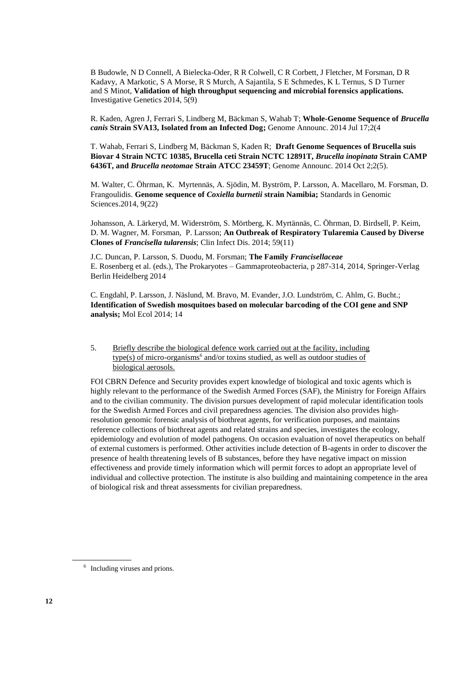B Budowle, N D Connell, A Bielecka-Oder, R R Colwell, C R Corbett, J Fletcher, M Forsman, D R Kadavy, A Markotic, S A Morse, R S Murch, A Sajantila, S E Schmedes, K L Ternus, S D Turner and S Minot, **Validation of high throughput sequencing and microbial forensics applications.**  Investigative Genetics 2014, 5(9)

R. [Kaden,](http://www.ncbi.nlm.nih.gov/pubmed?term=Kaden%20R%5BAuthor%5D&cauthor=true&cauthor_uid=25035330) [Agren J,](http://www.ncbi.nlm.nih.gov/pubmed?term=Agren%20J%5BAuthor%5D&cauthor=true&cauthor_uid=25035330) [Ferrari S,](http://www.ncbi.nlm.nih.gov/pubmed?term=Ferrari%20S%5BAuthor%5D&cauthor=true&cauthor_uid=25035330) [Lindberg M,](http://www.ncbi.nlm.nih.gov/pubmed?term=Lindberg%20M%5BAuthor%5D&cauthor=true&cauthor_uid=25035330) [Bäckman S,](http://www.ncbi.nlm.nih.gov/pubmed?term=B%C3%A4ckman%20S%5BAuthor%5D&cauthor=true&cauthor_uid=25035330) [Wahab T;](http://www.ncbi.nlm.nih.gov/pubmed?term=Wahab%20T%5BAuthor%5D&cauthor=true&cauthor_uid=25035330) **Whole-Genome Sequence of** *Brucella canis* **Strain SVA13, Isolated from an Infected Dog;** [Genome Announc.](http://www.ncbi.nlm.nih.gov/pubmed/25035330) 2014 Jul 17;2(4

T. Wahab, Ferrari S, Lindberg M, Bäckman S, Kaden R; **Draft Genome Sequences of Brucella suis Biovar 4 Strain NCTC 10385, Brucella ceti Strain NCTC 12891T,** *Brucella inopinata* **Strain CAMP 6436T, and** *Brucella neotomae* **Strain ATCC 23459T**; Genome Announc. 2014 Oct 2;2(5).

M. Walter, C. Öhrman, K. Myrtennäs, A. Sjödin, M. Byström, P. Larsson, A. Macellaro, M. Forsman, D. Frangoulidis. **Genome sequence of** *Coxiella burnetii* **strain Namibia;** Standards in Genomic Sciences.2014, 9(22)

Johansson, A. Lärkeryd, M. Widerström, S. Mörtberg, K. Myrtännäs, C. Öhrman, D. Birdsell, P. Keim, D. M. Wagner, M. Forsman, P. Larsson; **An Outbreak of Respiratory Tularemia Caused by Diverse Clones of** *Francisella tularensis*; Clin Infect Dis. 2014; 59(11)

J.C. Duncan, P. Larsson, S. Duodu, M. Forsman; **The Family** *Francisellaceae* E. Rosenberg et al. (eds.), The Prokaryotes – Gammaproteobacteria, p 287-314, 2014, Springer-Verlag Berlin Heidelberg 2014

C. Engdahl, P. Larsson, J. Näslund, M. Bravo, M. Evander, J.O. Lundström, C. Ahlm, G. Bucht.; **Identification of Swedish mosquitoes based on molecular barcoding of the COI gene and SNP analysis;** Mol Ecol 2014; 14

5. Briefly describe the biological defence work carried out at the facility, including type(s) of micro-organisms<sup>6</sup> and/or toxins studied, as well as outdoor studies of biological aerosols.

FOI CBRN Defence and Security provides expert knowledge of biological and toxic agents which is highly relevant to the performance of the Swedish Armed Forces (SAF), the Ministry for Foreign Affairs and to the civilian community. The division pursues development of rapid molecular identification tools for the Swedish Armed Forces and civil preparedness agencies. The division also provides highresolution genomic forensic analysis of biothreat agents, for verification purposes, and maintains reference collections of biothreat agents and related strains and species, investigates the ecology, epidemiology and evolution of model pathogens. On occasion evaluation of novel therapeutics on behalf of external customers is performed. Other activities include detection of B-agents in order to discover the presence of health threatening levels of B substances, before they have negative impact on mission effectiveness and provide timely information which will permit forces to adopt an appropriate level of individual and collective protection. The institute is also building and maintaining competence in the area of biological risk and threat assessments for civilian preparedness.

<sup>&</sup>lt;sup>6</sup> Including viruses and prions.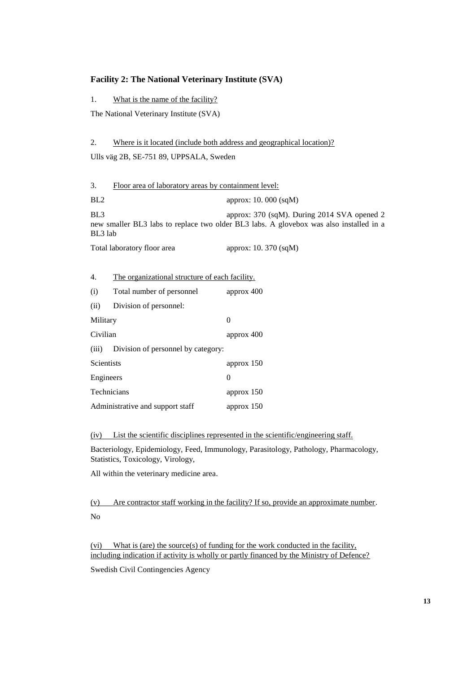### **Facility 2: The National Veterinary Institute (SVA)**

1. What is the name of the facility?

The National Veterinary Institute (SVA)

#### 2. Where is it located (include both address and geographical location)?

Ulls väg 2B, SE-751 89, UPPSALA, Sweden

| 3.                                                                                                                                                                              | Floor area of laboratory areas by containment level: |                       |  |  |  |
|---------------------------------------------------------------------------------------------------------------------------------------------------------------------------------|------------------------------------------------------|-----------------------|--|--|--|
| BL <sub>2</sub>                                                                                                                                                                 |                                                      | approx: 10. 000 (sqM) |  |  |  |
| BL <sub>3</sub><br>approx: 370 (sqM). During 2014 SVA opened 2<br>new smaller BL3 labs to replace two older BL3 labs. A glovebox was also installed in a<br>BL <sub>3</sub> lab |                                                      |                       |  |  |  |
| Total laboratory floor area                                                                                                                                                     |                                                      | approx: 10. 370 (sqM) |  |  |  |
|                                                                                                                                                                                 |                                                      |                       |  |  |  |
| 4.                                                                                                                                                                              | The organizational structure of each facility.       |                       |  |  |  |
| (i)                                                                                                                                                                             | Total number of personnel                            | approx 400            |  |  |  |
| (ii)                                                                                                                                                                            | Division of personnel:                               |                       |  |  |  |
| Military                                                                                                                                                                        |                                                      | $\Omega$              |  |  |  |
| Civilian                                                                                                                                                                        |                                                      | approx 400            |  |  |  |
| (iii)                                                                                                                                                                           | Division of personnel by category:                   |                       |  |  |  |
| Scientists                                                                                                                                                                      |                                                      | approx 150            |  |  |  |
| Engineers                                                                                                                                                                       |                                                      | $\Omega$              |  |  |  |
| Technicians                                                                                                                                                                     |                                                      | approx 150            |  |  |  |
|                                                                                                                                                                                 | Administrative and support staff                     | approx $150$          |  |  |  |

(iv) List the scientific disciplines represented in the scientific/engineering staff.

Bacteriology, Epidemiology, Feed, Immunology, Parasitology, Pathology, Pharmacology, Statistics, Toxicology, Virology,

All within the veterinary medicine area.

(v) Are contractor staff working in the facility? If so, provide an approximate number. No

(vi) What is (are) the source(s) of funding for the work conducted in the facility, including indication if activity is wholly or partly financed by the Ministry of Defence?

Swedish Civil Contingencies Agency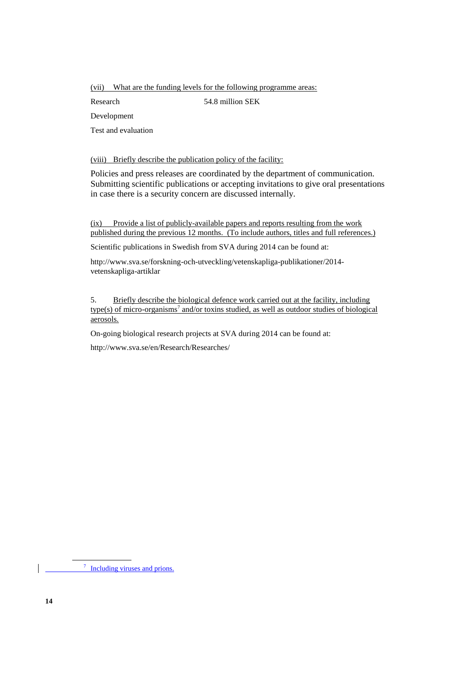(vii) What are the funding levels for the following programme areas:

Research 54.8 million SEK

Development

Test and evaluation

(viii) Briefly describe the publication policy of the facility:

Policies and press releases are coordinated by the department of communication. Submitting scientific publications or accepting invitations to give oral presentations in case there is a security concern are discussed internally.

(ix) Provide a list of publicly-available papers and reports resulting from the work published during the previous 12 months. (To include authors, titles and full references.)

Scientific publications in Swedish from SVA during 2014 can be found at:

[http://www.sva.se/forskning-och-utveckling/vetenskapliga-publikationer/2014](http://www.sva.se/forskning-och-utveckling/vetenskapliga-publikationer/2014-vetenskapliga-artiklar) [vetenskapliga-artiklar](http://www.sva.se/forskning-och-utveckling/vetenskapliga-publikationer/2014-vetenskapliga-artiklar)

5. Briefly describe the biological defence work carried out at the facility, including type(s) of micro-organisms<sup>7</sup> and/or toxins studied, as well as outdoor studies of biological aerosols.

On-going biological research projects at SVA during 2014 can be found at:

http://www.sva.se/en/Research/Researches/

 $\frac{7}{1}$  Including viruses and prions.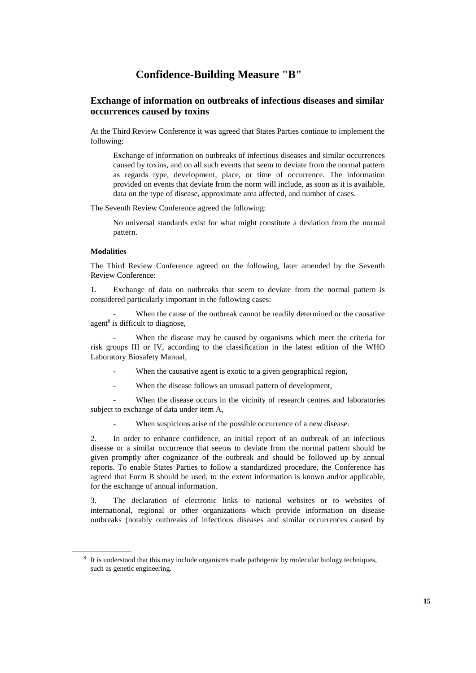# **Confidence-Building Measure "B"**

## **Exchange of information on outbreaks of infectious diseases and similar occurrences caused by toxins**

At the Third Review Conference it was agreed that States Parties continue to implement the following:

Exchange of information on outbreaks of infectious diseases and similar occurrences caused by toxins, and on all such events that seem to deviate from the normal pattern as regards type, development, place, or time of occurrence. The information provided on events that deviate from the norm will include, as soon as it is available, data on the type of disease, approximate area affected, and number of cases.

The Seventh Review Conference agreed the following:

No universal standards exist for what might constitute a deviation from the normal pattern.

#### **Modalities**

The Third Review Conference agreed on the following, later amended by the Seventh Review Conference:

1. Exchange of data on outbreaks that seem to deviate from the normal pattern is considered particularly important in the following cases:

When the cause of the outbreak cannot be readily determined or the causative agent<sup>8</sup> is difficult to diagnose,

When the disease may be caused by organisms which meet the criteria for risk groups III or IV, according to the classification in the latest edition of the WHO Laboratory Biosafety Manual,

When the causative agent is exotic to a given geographical region,

When the disease follows an unusual pattern of development,

When the disease occurs in the vicinity of research centres and laboratories subject to exchange of data under item A,

When suspicions arise of the possible occurrence of a new disease.

2. In order to enhance confidence, an initial report of an outbreak of an infectious disease or a similar occurrence that seems to deviate from the normal pattern should be given promptly after cognizance of the outbreak and should be followed up by annual reports. To enable States Parties to follow a standardized procedure, the Conference has agreed that Form B should be used, to the extent information is known and/or applicable, for the exchange of annual information.

3. The declaration of electronic links to national websites or to websites of international, regional or other organizations which provide information on disease outbreaks (notably outbreaks of infectious diseases and similar occurrences caused by

<sup>&</sup>lt;sup>8</sup> It is understood that this may include organisms made pathogenic by molecular biology techniques, such as genetic engineering.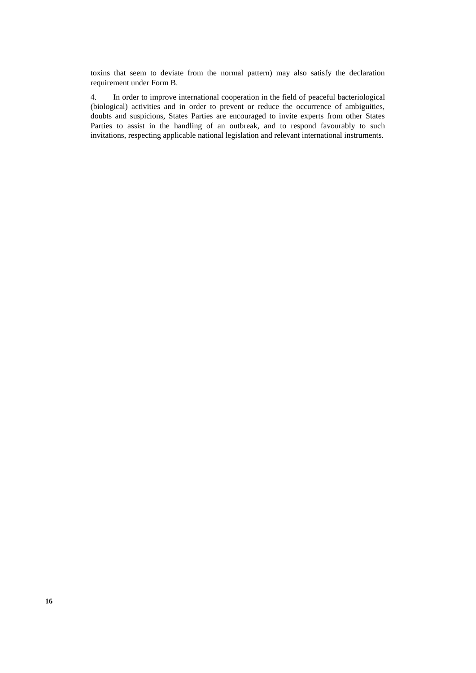toxins that seem to deviate from the normal pattern) may also satisfy the declaration requirement under Form B.

4. In order to improve international cooperation in the field of peaceful bacteriological (biological) activities and in order to prevent or reduce the occurrence of ambiguities, doubts and suspicions, States Parties are encouraged to invite experts from other States Parties to assist in the handling of an outbreak, and to respond favourably to such invitations, respecting applicable national legislation and relevant international instruments.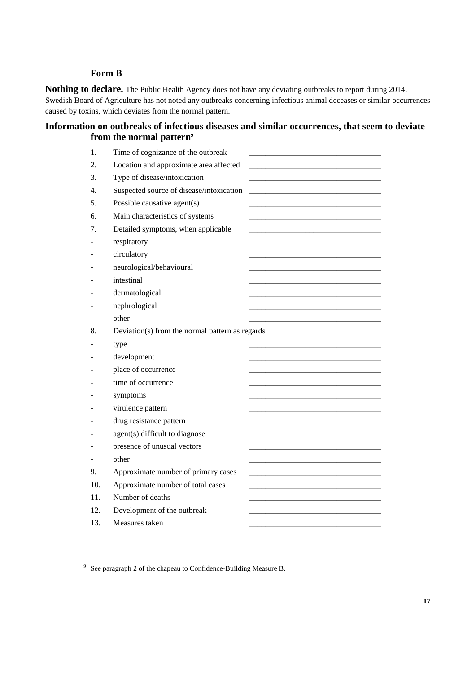# **Form B**

**Nothing to declare.** The Public Health Agency does not have any deviating outbreaks to report during 2014. Swedish Board of Agriculture has not noted any outbreaks concerning infectious animal deceases or similar occurrences caused by toxins, which deviates from the normal pattern.

# **Information on outbreaks of infectious diseases and similar occurrences, that seem to deviate from the normal pattern<sup>9</sup>**

| 1.  | Time of cognizance of the outbreak              |  |
|-----|-------------------------------------------------|--|
| 2.  | Location and approximate area affected          |  |
| 3.  | Type of disease/intoxication                    |  |
| 4.  | Suspected source of disease/intoxication        |  |
| 5.  | Possible causative agent(s)                     |  |
| б.  | Main characteristics of systems                 |  |
| 7.  | Detailed symptoms, when applicable              |  |
|     | respiratory                                     |  |
|     | circulatory                                     |  |
|     | neurological/behavioural                        |  |
|     | intestinal                                      |  |
|     | dermatological                                  |  |
|     | nephrological                                   |  |
|     | other                                           |  |
| 8.  | Deviation(s) from the normal pattern as regards |  |
|     |                                                 |  |
|     | type                                            |  |
|     | development                                     |  |
|     | place of occurrence                             |  |
|     | time of occurrence                              |  |
|     | symptoms                                        |  |
|     | virulence pattern                               |  |
|     | drug resistance pattern                         |  |
|     | agent(s) difficult to diagnose                  |  |
|     | presence of unusual vectors                     |  |
|     | other                                           |  |
| 9.  | Approximate number of primary cases             |  |
| 10. | Approximate number of total cases               |  |
| 11. | Number of deaths                                |  |
| 12. | Development of the outbreak                     |  |

<sup>&</sup>lt;sup>9</sup> See paragraph 2 of the chapeau to Confidence-Building Measure B.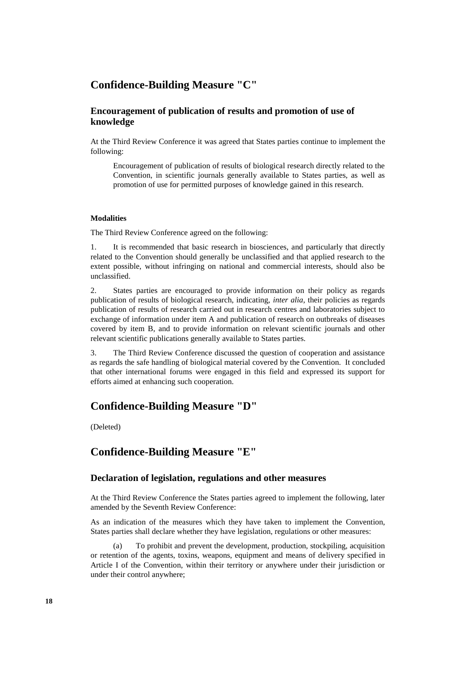# **Confidence-Building Measure "C"**

## **Encouragement of publication of results and promotion of use of knowledge**

At the Third Review Conference it was agreed that States parties continue to implement the following:

Encouragement of publication of results of biological research directly related to the Convention, in scientific journals generally available to States parties, as well as promotion of use for permitted purposes of knowledge gained in this research.

#### **Modalities**

The Third Review Conference agreed on the following:

1. It is recommended that basic research in biosciences, and particularly that directly related to the Convention should generally be unclassified and that applied research to the extent possible, without infringing on national and commercial interests, should also be unclassified.

2. States parties are encouraged to provide information on their policy as regards publication of results of biological research, indicating, *inter alia*, their policies as regards publication of results of research carried out in research centres and laboratories subject to exchange of information under item A and publication of research on outbreaks of diseases covered by item B, and to provide information on relevant scientific journals and other relevant scientific publications generally available to States parties.

3. The Third Review Conference discussed the question of cooperation and assistance as regards the safe handling of biological material covered by the Convention. It concluded that other international forums were engaged in this field and expressed its support for efforts aimed at enhancing such cooperation.

# **Confidence-Building Measure "D"**

(Deleted)

# **Confidence-Building Measure "E"**

### **Declaration of legislation, regulations and other measures**

At the Third Review Conference the States parties agreed to implement the following, later amended by the Seventh Review Conference:

As an indication of the measures which they have taken to implement the Convention, States parties shall declare whether they have legislation, regulations or other measures:

To prohibit and prevent the development, production, stockpiling, acquisition or retention of the agents, toxins, weapons, equipment and means of delivery specified in Article I of the Convention, within their territory or anywhere under their jurisdiction or under their control anywhere;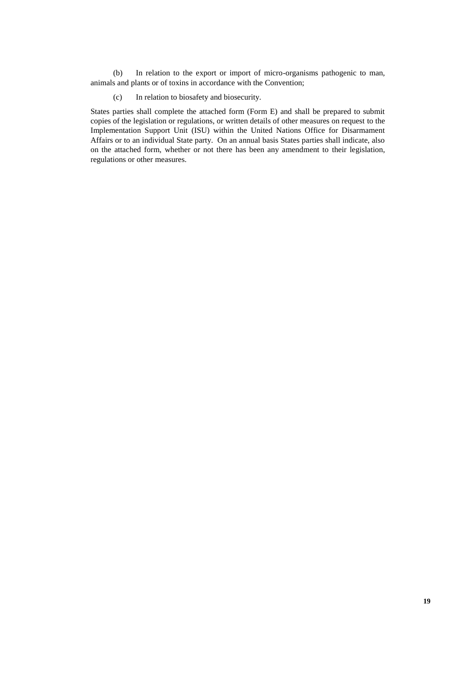(b) In relation to the export or import of micro-organisms pathogenic to man, animals and plants or of toxins in accordance with the Convention;

(c) In relation to biosafety and biosecurity.

States parties shall complete the attached form (Form E) and shall be prepared to submit copies of the legislation or regulations, or written details of other measures on request to the Implementation Support Unit (ISU) within the United Nations Office for Disarmament Affairs or to an individual State party. On an annual basis States parties shall indicate, also on the attached form, whether or not there has been any amendment to their legislation, regulations or other measures.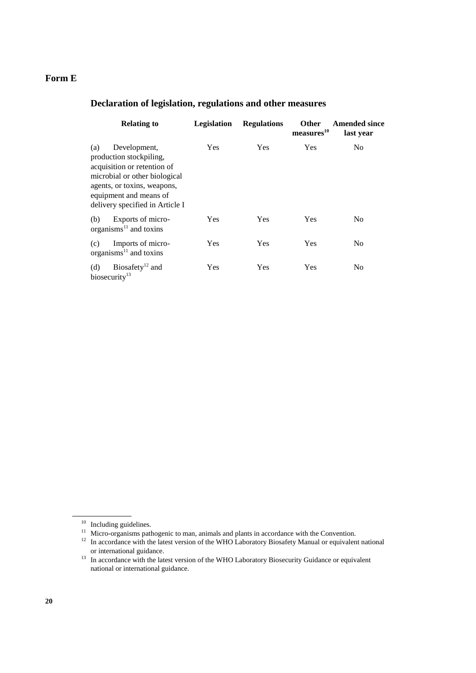# **Form E**

# **Declaration of legislation, regulations and other measures**

| <b>Relating to</b>                                                                                                                                                                                         | <b>Legislation</b> | <b>Regulations</b> | <b>Other</b><br>measures <sup>10</sup> | <b>Amended since</b><br>last year |
|------------------------------------------------------------------------------------------------------------------------------------------------------------------------------------------------------------|--------------------|--------------------|----------------------------------------|-----------------------------------|
| Development,<br>(a)<br>production stockpiling,<br>acquisition or retention of<br>microbial or other biological<br>agents, or toxins, weapons,<br>equipment and means of<br>delivery specified in Article I | <b>Yes</b>         | Yes                | Yes                                    | N <sub>0</sub>                    |
| Exports of micro-<br>(b)<br>organisms $^{11}$ and toxins                                                                                                                                                   | <b>Yes</b>         | Yes                | Yes                                    | N <sub>0</sub>                    |
| Imports of micro-<br>(c)<br>organisms $^{11}$ and toxins                                                                                                                                                   | Yes                | Yes                | Yes                                    | N <sub>0</sub>                    |
| Biosafety <sup>12</sup> and<br>(d)<br>biosecurity <sup>13</sup>                                                                                                                                            | Yes                | Yes                | Yes                                    | No                                |

<sup>&</sup>lt;sup>10</sup> Including guidelines.

<sup>&</sup>lt;sup>11</sup> Micro-organisms pathogenic to man, animals and plants in accordance with the Convention.

 $12$  In accordance with the latest version of the WHO Laboratory Biosafety Manual or equivalent national or international guidance.

<sup>&</sup>lt;sup>13</sup> In accordance with the latest version of the WHO Laboratory Biosecurity Guidance or equivalent national or international guidance.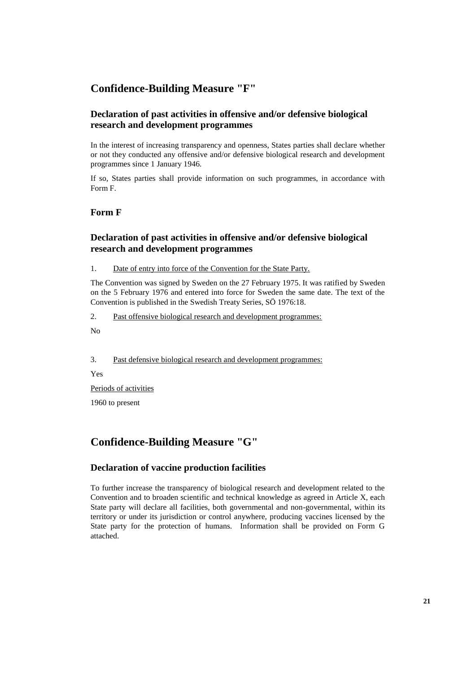# **Confidence-Building Measure "F"**

# **Declaration of past activities in offensive and/or defensive biological research and development programmes**

In the interest of increasing transparency and openness, States parties shall declare whether or not they conducted any offensive and/or defensive biological research and development programmes since 1 January 1946.

If so, States parties shall provide information on such programmes, in accordance with Form F.

## **Form F**

## **Declaration of past activities in offensive and/or defensive biological research and development programmes**

1. Date of entry into force of the Convention for the State Party.

The Convention was signed by Sweden on the 27 February 1975. It was ratified by Sweden on the 5 February 1976 and entered into force for Sweden the same date. The text of the Convention is published in the Swedish Treaty Series, SÖ 1976:18.

2. Past offensive biological research and development programmes:

No

3. Past defensive biological research and development programmes:

Yes

Periods of activities

1960 to present

# **Confidence-Building Measure "G"**

## **Declaration of vaccine production facilities**

To further increase the transparency of biological research and development related to the Convention and to broaden scientific and technical knowledge as agreed in Article X, each State party will declare all facilities, both governmental and non-governmental, within its territory or under its jurisdiction or control anywhere, producing vaccines licensed by the State party for the protection of humans. Information shall be provided on Form G attached.